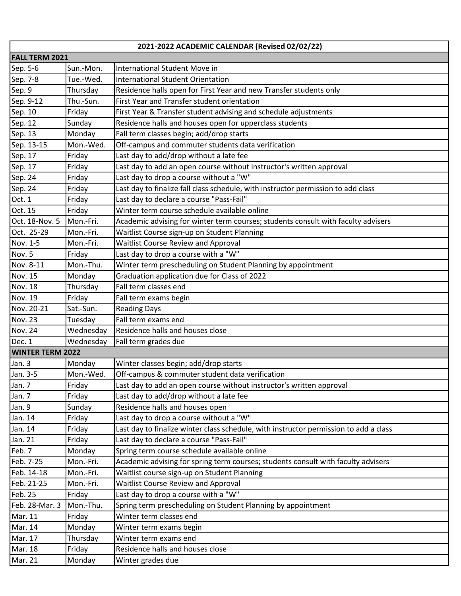| 2021-2022 ACADEMIC CALENDAR (Revised 02/02/22) |           |                                                                                       |  |  |
|------------------------------------------------|-----------|---------------------------------------------------------------------------------------|--|--|
| <b>FALL TERM 2021</b>                          |           |                                                                                       |  |  |
| Sep. 5-6                                       | Sun.-Mon. | International Student Move in                                                         |  |  |
| Sep. 7-8                                       | Tue.-Wed. | International Student Orientation                                                     |  |  |
| Sep. 9                                         | Thursday  | Residence halls open for First Year and new Transfer students only                    |  |  |
| Sep. 9-12                                      | Thu.-Sun. | First Year and Transfer student orientation                                           |  |  |
| Sep. 10                                        | Friday    | First Year & Transfer student advising and schedule adjustments                       |  |  |
| Sep. 12                                        | Sunday    | Residence halls and houses open for upperclass students                               |  |  |
| Sep. 13                                        | Monday    | Fall term classes begin; add/drop starts                                              |  |  |
| Sep. 13-15                                     | Mon.-Wed. | Off-campus and commuter students data verification                                    |  |  |
| Sep. 17                                        | Friday    | Last day to add/drop without a late fee                                               |  |  |
| Sep. 17                                        | Friday    | Last day to add an open course without instructor's written approval                  |  |  |
| Sep. 24                                        | Friday    | Last day to drop a course without a "W"                                               |  |  |
| Sep. 24                                        | Friday    | Last day to finalize fall class schedule, with instructor permission to add class     |  |  |
| Oct. 1                                         | Friday    | Last day to declare a course "Pass-Fail"                                              |  |  |
| Oct. 15                                        | Friday    | Winter term course schedule available online                                          |  |  |
| Oct. 18-Nov. 5                                 | Mon.-Fri. | Academic advising for winter term courses; students consult with faculty advisers     |  |  |
| Oct. 25-29                                     | Mon.-Fri. | Waitlist Course sign-up on Student Planning                                           |  |  |
| Nov. 1-5                                       | Mon.-Fri. | <b>Waitlist Course Review and Approval</b>                                            |  |  |
| Nov. 5                                         | Friday    | Last day to drop a course with a "W"                                                  |  |  |
| Nov. 8-11                                      | Mon.-Thu. | Winter term prescheduling on Student Planning by appointment                          |  |  |
| Nov. 15                                        | Monday    | Graduation application due for Class of 2022                                          |  |  |
| Nov. 18                                        | Thursday  | Fall term classes end                                                                 |  |  |
| Nov. 19                                        | Friday    | Fall term exams begin                                                                 |  |  |
| Nov. 20-21                                     | Sat.-Sun. | <b>Reading Days</b>                                                                   |  |  |
| Nov. 23                                        | Tuesday   | Fall term exams end                                                                   |  |  |
| Nov. 24                                        | Wednesday | Residence halls and houses close                                                      |  |  |
| Dec. 1                                         | Wednesday | Fall term grades due                                                                  |  |  |
| <b>WINTER TERM 2022</b>                        |           |                                                                                       |  |  |
| Jan. 3                                         | Monday    | Winter classes begin; add/drop starts                                                 |  |  |
| Jan. 3-5                                       | Mon.-Wed. | Off-campus & commuter student data verification                                       |  |  |
| Jan. 7                                         | Friday    | Last day to add an open course without instructor's written approval                  |  |  |
| Jan. 7                                         | Friday    | Last day to add/drop without a late fee                                               |  |  |
| Jan. 9                                         | Sunday    | Residence halls and houses open                                                       |  |  |
| Jan. 14                                        | Friday    | Last day to drop a course without a "W"                                               |  |  |
| Jan. 14                                        | Friday    | Last day to finalize winter class schedule, with instructor permission to add a class |  |  |
| Jan. 21                                        | Friday    | Last day to declare a course "Pass-Fail"                                              |  |  |
| Feb. 7                                         | Monday    | Spring term course schedule available online                                          |  |  |
| Feb. 7-25                                      | Mon.-Fri. | Academic advising for spring term courses; students consult with faculty advisers     |  |  |
| Feb. 14-18                                     | Mon.-Fri. | Waitlist course sign-up on Student Planning                                           |  |  |
| Feb. 21-25                                     | Mon.-Fri. | <b>Waitlist Course Review and Approval</b>                                            |  |  |
| Feb. 25                                        | Friday    | Last day to drop a course with a "W"                                                  |  |  |
| Feb. 28-Mar. 3                                 | Mon.-Thu. | Spring term prescheduling on Student Planning by appointment                          |  |  |
| Mar. 11                                        | Friday    | Winter term classes end                                                               |  |  |
| Mar. 14                                        | Monday    | Winter term exams begin                                                               |  |  |
| Mar. 17                                        | Thursday  | Winter term exams end                                                                 |  |  |
| Mar. 18                                        | Friday    | Residence halls and houses close                                                      |  |  |
| Mar. 21                                        | Monday    | Winter grades due                                                                     |  |  |